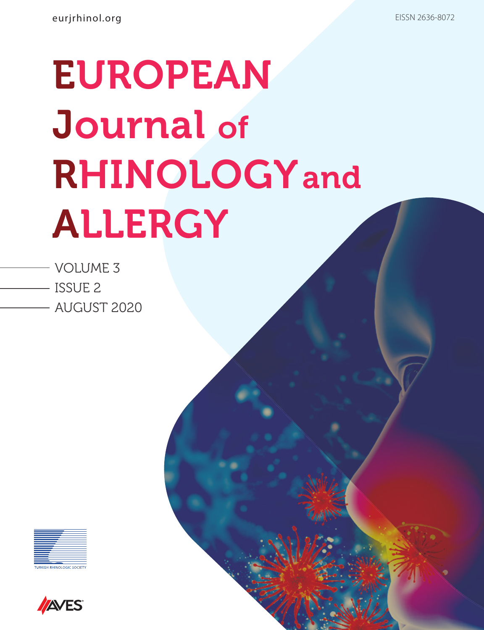- VOLUME 3 ISSUE 2
	- AUGUST 2020



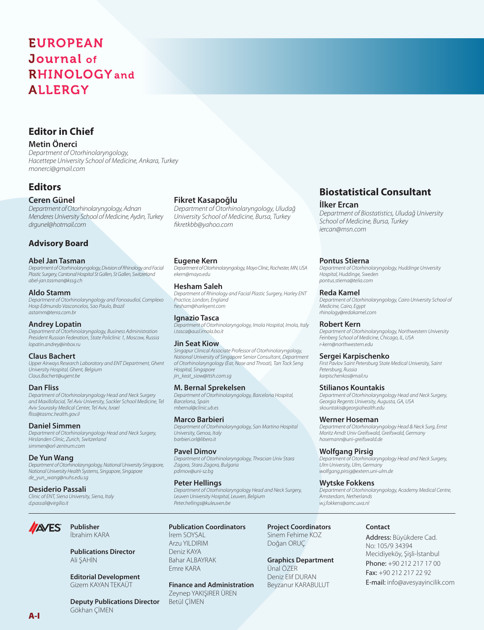### **Editor in Chief**

### **Metin Önerci**

*Department of Otorhinolaryngology, Hacettepe University School of Medicine, Ankara, Turkey monerci@gmail.com*

### **Editors**

### **Ceren Günel**

*Department of Otorhinolaryngology, Adnan Menderes University School of Medicine, Aydın, Turkey drgunel@hotmail.com* 

### **Advisory Board**

### **Abel Jan Tasman**

*Department of Otorhinolaryngology, Division of Rhinology and Facial Plastic Surgery, Cantonal Hospital St Gallen, St Gallen, Switzerland abel-jan.tasman@kssg.ch*

### **Aldo Stamm**

*Department of Otorhinolaryngology and Fonoaudiol, Complexo Hosp Edmundo Vasconcelos, Sao Paulo, Brazil astamm@terra.com.br*

### **Andrey Lopatin**

*Department of Otorhinolaryngology, Business Administration President Russian Federation, State Policlinic 1, Moscow, Russia lopatin.andrey@inbox.ru*

### **Claus Bachert**

*Upper Airways Research Laboratory and ENT Department, Ghent University Hospital, Ghent, Belgium Claus.Bachert@ugent.be*

### **Dan Fliss**

*Department of Otorhinolaryngology Head and Neck Surgery and Maxillofacial, Tel Aviv University, Sackler School Medicine, Tel Aviv Sourasky Medical Center, Tel Aviv, Israel fliss@tasmc.health.gov.il*

### **Daniel Simmen**

*Department of Otorhinolaryngology Head and Neck Surgery, Hirslanden Clinic, Zurich, Switzerland simmen@orl-zentrum.com*

### **De Yun Wang**

**AVES** 

*Department of Otorhinolaryngology, National University Singapore, National University Health Systems, Singapore, Singapore de\_yun\_wang@nuhs.edu.sg*

### **Desiderio Passali**

*Clinic of ENT, Siena University, Siena, Italy d.passali@virgilio.it*

> **Publisher** İbrahim KARA

Ali ŞAHİN

Gökhan ÇİMEN

**Publications Director**

**Editorial Development** Gizem KAYAN TEKAÜT

### **Fikret Kasapoğlu**

*Department of Otorhinolaryngology, Uludağ University School of Medicine, Bursa, Turkey fikretkbb@yahoo.com* 

### **Eugene Kern**

*Department of Otorhinolaryngology, Mayo Clinic, Rochester, MN, USA ekern@mayo.edu*

### **Hesham Saleh**

*Department of Rhinology and Facial Plastic Surgery, Harley ENT Practice, London, England hesham@harleyent.com*

**Ignazio Tasca**  *Department of Otorhinolaryngology, Imola Hospital, Imola, Italy i.tasca@ausl.imola.bo.it*

### **Jin Seat Kiow**

*Singapur Clinical Associate Professor of Otorhinolaryngology, National University of Singapore Senior Consultant, Department of Otorhinolaryngology (Ear, Nose and Throat), Tan Tock Seng Hospital, Singapore jin\_keat\_siow@ttsh.com.sg*

### **M. Bernal Sprekelsen**

*Department of Otorhinolaryngology, Barcelona Hospital, Barcelona, Spain mbernal@clinic.ub.es*

### **Marco Barbieri**

*Department of Otorhinolaryngology, San Martino Hospital University, Genoa, Italy barbieri.orl@libero.it*

### **Pavel Dimov**

*Department of Otorhinolaryngology, Thracian Univ Stara Zagora, Stara Zagora, Bulgaria pdimov@uni-sz.bg*

### **Peter Hellings**

*Department of Otorhinolaryngology Head and Neck Surgery, Leuven University Hospital, Leuven, Belgium Peter.hellings@kuleuven.be*

### **Publication Coordinators**

İrem SOYSAL Arzu YILDIRIM Deniz KAYA Bahar ALBAYRAK Emre KARA

### **Finance and Administration**

**Deputy Publications Director** Zeynep YAKIŞIRER ÜREN Betül ÇİMEN

### **Biostatistical Consultant**

### **İlker Ercan**

*Department of Biostatistics, Uludağ University School of Medicine, Bursa, Turkey iercan@msn.com* 

### **Pontus Stierna**

*Department of Otorhinolaryngology, Huddinge University Hospital, Huddinge, Sweden pontus.stierna@telia.com*

### **Reda Kamel**

*Department of Otorhinolaryngology, Cairo University School of Medicine, Cairo, Egypt rhinology@redakamel.com*

### **Robert Kern**

*Department of Otorhinolaryngology, Northwestern University Feinberg School of Medicine, Chicago, IL, USA r-kern@northwestern.edu*

### **Sergei Karpischenko**

*First Pavlov Saint Petersburg State Medical University, Saint Petersburg, Russia karpischenkos@mail.ru*

### **Stilianos Kountakis**

*Department of Otorhinolaryngology Head and Neck Surgery, Georgia Regents University, Augusta, GA, USA skountakis@georgiahealth.edu*

### **Werner Hoseman**

*Department of Otorhinolaryngology Head & Neck Surg, Ernst Moritz Arndt Univ Greifswald, Greifswald, Germany hosemann@uni-greifswald.de*

### **Wolfgang Pirsig**

*Department of Otorhinolaryngology Head and Neck Surgery, Ulm University, Ulm, Germany wolfgang.pirsig@extern.uni-ulm.de*

### **Wytske Fokkens**

*Department of Otorhinolaryngology, Academy Medical Centre, Amsterdam, Netherlands w.j.fokkens@amc.uva.nl*

### **Contact**

Address: Büyükdere Cad. No: 105/9 34394 Mecidiyeköy, Şişli-İstanbul Phone: +90 212 217 17 00 Fax: +90 212 217 22 92 E-mail: info@avesyayincilik.com

**Project Coordinators** Sinem Fehime KOZ

Doğan ORUÇ

Ünal ÖZER Deniz Elif DURAN Beyzanur KARABULUT

**Graphics Department**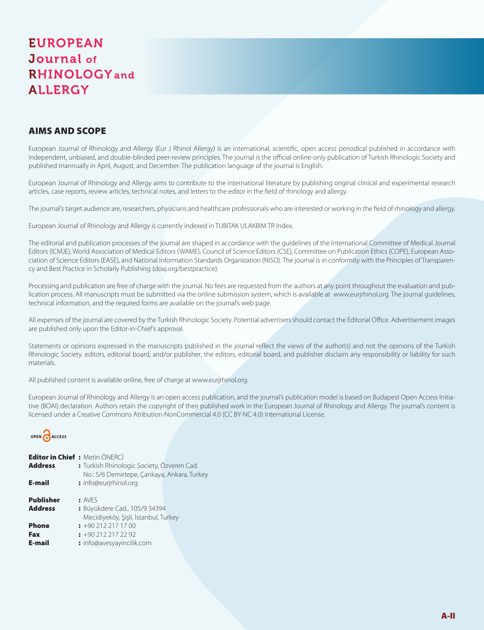### AIMS AND SCOPE

European Journal of Rhinology and Allergy (Eur J Rhinol Allergy) is an international, scientific, open access periodical published in accordance with independent, unbiased, and double-blinded peer-review principles. The journal is the official online-only publication of Turkish Rhinologic Society and published triannually in April, August, and December. The publication language of the journal is English.

European Journal of Rhinology and Allergy aims to contribute to the international literature by publishing original clinical and experimental research articles, case reports, review articles, technical notes, and letters to the editor in the field of rhinology and allergy.

The journal's target audience are, researchers, physicians and healthcare professionals who are interested or working in the field of rhinology and allergy.

European Journal of Rhinology and Allergy is currently indexed in TUBITAK ULAKBIM TR Index.

The editorial and publication processes of the journal are shaped in accordance with the guidelines of the International Committee of Medical Journal Editors (ICMJE), World Association of Medical Editors (WAME), Council of Science Editors (CSE), Committee on Publication Ethics (COPE), European Association of Science Editors (EASE), and National Information Standards Organization (NISO). The journal is in conformity with the Principles of Transparency and Best Practice in Scholarly Publishing (doaj.org/bestpractice).

Processing and publication are free of charge with the journal. No fees are requested from the authors at any point throughout the evaluation and publication process. All manuscripts must be submitted via the online submission system, which is available at www.eurjrhinol.org. The journal guidelines, technical information, and the required forms are available on the journal's web page.

All expenses of the journal are covered by the Turkish Rhinologic Society. Potential advertisers should contact the Editorial Office. Advertisement images are published only upon the Editor-in-Chief's approval.

Statements or opinions expressed in the manuscripts published in the journal reflect the views of the author(s) and not the opinions of the Turkish Rhinologic Society. editors, editorial board, and/or publisher; the editors, editorial board, and publisher disclaim any responsibility or liability for such materials.

All published content is available online, free of charge at www.eurjrhinol.org.

European Journal of Rhinology and Allergy is an open access publication, and the journal's publication model is based on Budapest Open Access Initiative (BOAI) declaration. Authors retain the copyright of their published work in the European Journal of Rhinology and Allergy. The journal's content is licensed under a Creative Commons Atribution-NonCommercial 4.0 (CC BY-NC 4.0) International License.



| Editor in Chief: Metin ÖNFRCİ              |                                                                      |
|--------------------------------------------|----------------------------------------------------------------------|
| : Turkish Rhinologic Society, Özveren Cad. |                                                                      |
|                                            |                                                                      |
|                                            |                                                                      |
| : AVFS                                     |                                                                      |
| : Büyükdere Cad., 105/9 34394              |                                                                      |
| Mecidiyeköy, Şişli, İstanbul, Turkey       |                                                                      |
| $\div$ +90 212 217 17 00                   |                                                                      |
| $: +902122172292$                          |                                                                      |
| : info@avesyayincilik.com                  |                                                                      |
|                                            | No.: 5/6 Demirtepe, Çankaya, Ankara, Turkey<br>: info@eurjrhinol.org |

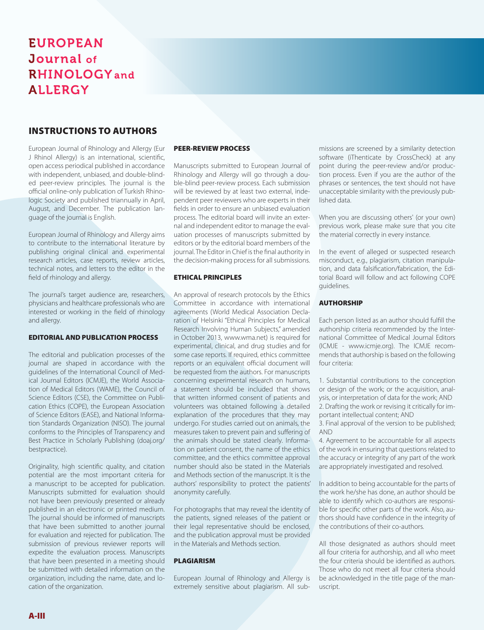### INSTRUCTIONS TO AUTHORS

European Journal of Rhinology and Allergy (Eur J Rhinol Allergy) is an international, scientific, open access periodical published in accordance with independent, unbiased, and double-blinded peer-review principles. The journal is the official online-only publication of Turkish Rhinologic Society and published triannually in April, August, and December. The publication language of the journal is English.

European Journal of Rhinology and Allergy aims to contribute to the international literature by publishing original clinical and experimental research articles, case reports, review articles, technical notes, and letters to the editor in the field of rhinology and allergy.

The journal's target audience are, researchers, physicians and healthcare professionals who are interested or working in the field of rhinology and allergy.

### EDITORIAL AND PUBLICATION PROCESS

The editorial and publication processes of the journal are shaped in accordance with the guidelines of the International Council of Medical Journal Editors (ICMJE), the World Association of Medical Editors (WAME), the Council of Science Editors (CSE), the Committee on Publication Ethics (COPE), the European Association of Science Editors (EASE), and National Information Standards Organization (NISO). The journal conforms to the Principles of Transparency and Best Practice in Scholarly Publishing (doaj.org/ bestpractice).

Originality, high scientific quality, and citation potential are the most important criteria for a manuscript to be accepted for publication. Manuscripts submitted for evaluation should not have been previously presented or already published in an electronic or printed medium. The journal should be informed of manuscripts that have been submitted to another journal for evaluation and rejected for publication. The submission of previous reviewer reports will expedite the evaluation process. Manuscripts that have been presented in a meeting should be submitted with detailed information on the organization, including the name, date, and location of the organization.

### PEER-REVIEW PROCESS

Manuscripts submitted to European Journal of Rhinology and Allergy will go through a double-blind peer-review process. Each submission will be reviewed by at least two external, independent peer reviewers who are experts in their fields in order to ensure an unbiased evaluation process. The editorial board will invite an external and independent editor to manage the evaluation processes of manuscripts submitted by editors or by the editorial board members of the journal. The Editor in Chief is the final authority in the decision-making process for all submissions.

### ETHICAL PRINCIPLES

An approval of research protocols by the Ethics Committee in accordance with international agreements (World Medical Association Declaration of Helsinki "Ethical Principles for Medical Research Involving Human Subjects," amended in October 2013, www.wma.net) is required for experimental, clinical, and drug studies and for some case reports. If required, ethics committee reports or an equivalent official document will be requested from the authors. For manuscripts concerning experimental research on humans, a statement should be included that shows that written informed consent of patients and volunteers was obtained following a detailed explanation of the procedures that they may undergo. For studies carried out on animals, the measures taken to prevent pain and suffering of the animals should be stated clearly. Information on patient consent, the name of the ethics committee, and the ethics committee approval number should also be stated in the Materials and Methods section of the manuscript. It is the authors' responsibility to protect the patients' anonymity carefully.

For photographs that may reveal the identity of the patients, signed releases of the patient or their legal representative should be enclosed, and the publication approval must be provided in the Materials and Methods section.

### PLAGIARISM

European Journal of Rhinology and Allergy is extremely sensitive about plagiarism. All sub-

missions are screened by a similarity detection software (iThenticate by CrossCheck) at any point during the peer-review and/or production process. Even if you are the author of the phrases or sentences, the text should not have unacceptable similarity with the previously published data.

When you are discussing others' (or your own) previous work, please make sure that you cite the material correctly in every instance.

In the event of alleged or suspected research misconduct, e.g., plagiarism, citation manipulation, and data falsification/fabrication, the Editorial Board will follow and act following COPE guidelines.

### **AUTHORSHIP**

Each person listed as an author should fulfill the authorship criteria recommended by the International Committee of Medical Journal Editors (ICMJE - www.icmje.org). The ICMJE recommends that authorship is based on the following four criteria:

1. Substantial contributions to the conception or design of the work; or the acquisition, analysis, or interpretation of data for the work; AND 2. Drafting the work or revising it critically for important intellectual content; AND

3. Final approval of the version to be published; AND

4. Agreement to be accountable for all aspects of the work in ensuring that questions related to the accuracy or integrity of any part of the work are appropriately investigated and resolved.

In addition to being accountable for the parts of the work he/she has done, an author should be able to identify which co-authors are responsible for specific other parts of the work. Also, authors should have confidence in the integrity of the contributions of their co-authors.

All those designated as authors should meet all four criteria for authorship, and all who meet the four criteria should be identified as authors. Those who do not meet all four criteria should be acknowledged in the title page of the manuscript.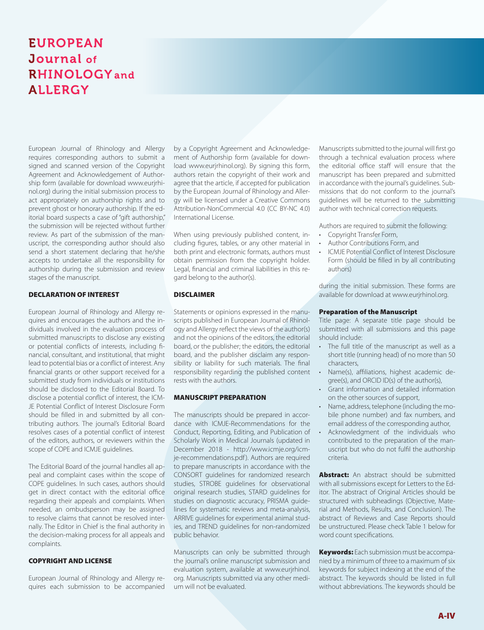European Journal of Rhinology and Allergy requires corresponding authors to submit a signed and scanned version of the Copyright Agreement and Acknowledgement of Authorship form (available for download www.eurjrhinol.org) during the initial submission process to act appropriately on authorship rights and to prevent ghost or honorary authorship. If the editorial board suspects a case of "gift authorship," the submission will be rejected without further review. As part of the submission of the manuscript, the corresponding author should also send a short statement declaring that he/she accepts to undertake all the responsibility for authorship during the submission and review stages of the manuscript.

### DECLARATION OF INTEREST

European Journal of Rhinology and Allergy requires and encourages the authors and the individuals involved in the evaluation process of submitted manuscripts to disclose any existing or potential conflicts of interests, including financial, consultant, and institutional, that might lead to potential bias or a conflict of interest. Any financial grants or other support received for a submitted study from individuals or institutions should be disclosed to the Editorial Board. To disclose a potential conflict of interest, the ICM-JE Potential Conflict of Interest Disclosure Form should be filled in and submitted by all contributing authors. The journal's Editorial Board resolves cases of a potential conflict of interest of the editors, authors, or reviewers within the scope of COPE and ICMJE guidelines.

The Editorial Board of the journal handles all appeal and complaint cases within the scope of COPE guidelines. In such cases, authors should get in direct contact with the editorial office regarding their appeals and complaints. When needed, an ombudsperson may be assigned to resolve claims that cannot be resolved internally. The Editor in Chief is the final authority in the decision-making process for all appeals and complaints.

### COPYRIGHT AND LICENSE

European Journal of Rhinology and Allergy requires each submission to be accompanied

by a Copyright Agreement and Acknowledgement of Authorship form (available for download www.eurjrhinol.org). By signing this form, authors retain the copyright of their work and agree that the article, if accepted for publication by the European Journal of Rhinology and Allergy will be licensed under a Creative Commons Attribution-NonCommercial 4.0 (CC BY-NC 4.0) International License.

When using previously published content, including figures, tables, or any other material in both print and electronic formats, authors must obtain permission from the copyright holder. Legal, financial and criminal liabilities in this regard belong to the author(s).

### DISCLAIMER

Statements or opinions expressed in the manuscripts published in European Journal of Rhinology and Allergy reflect the views of the author(s) and not the opinions of the editors, the editorial board, or the publisher; the editors, the editorial board, and the publisher disclaim any responsibility or liability for such materials. The final responsibility regarding the published content rests with the authors.

### MANUSCRIPT PREPARATION

The manuscripts should be prepared in accordance with ICMJE-Recommendations for the Conduct, Reporting, Editing, and Publication of Scholarly Work in Medical Journals (updated in December 2018 - http://www.icmje.org/icmje-recommendations.pdf). Authors are required to prepare manuscripts in accordance with the CONSORT guidelines for randomized research studies, STROBE guidelines for observational original research studies, STARD guidelines for studies on diagnostic accuracy, PRISMA guidelines for systematic reviews and meta-analysis, ARRIVE guidelines for experimental animal studies, and TREND guidelines for non-randomized public behavior.

Manuscripts can only be submitted through the journal's online manuscript submission and evaluation system, available at www.eurjrhinol. org. Manuscripts submitted via any other medium will not be evaluated.

Manuscripts submitted to the journal will first go through a technical evaluation process where the editorial office staff will ensure that the manuscript has been prepared and submitted in accordance with the journal's guidelines. Submissions that do not conform to the journal's guidelines will be returned to the submitting author with technical correction requests.

Authors are required to submit the following:

- Copyright Transfer Form,
- Author Contributions Form, and
- ICMJE Potential Conflict of Interest Disclosure Form (should be filled in by all contributing authors)

during the initial submission. These forms are available for download at www.eurjrhinol.org.

### Preparation of the Manuscript

Title page: A separate title page should be submitted with all submissions and this page should include:

- The full title of the manuscript as well as a short title (running head) of no more than 50 characters,
- Name(s), affiliations, highest academic degree(s), and ORCID ID(s) of the author(s),
- Grant information and detailed information on the other sources of support,
- Name, address, telephone (including the mobile phone number) and fax numbers, and email address of the corresponding author,
- Acknowledgment of the individuals who contributed to the preparation of the manuscript but who do not fulfil the authorship criteria.

**Abstract:** An abstract should be submitted with all submissions except for Letters to the Editor. The abstract of Original Articles should be structured with subheadings (Objective, Material and Methods, Results, and Conclusion). The abstract of Reviews and Case Reports should be unstructured. Please check Table 1 below for word count specifications.

**Keywords:** Each submission must be accompanied by a minimum of three to a maximum of six keywords for subject indexing at the end of the abstract. The keywords should be listed in full without abbreviations. The keywords should be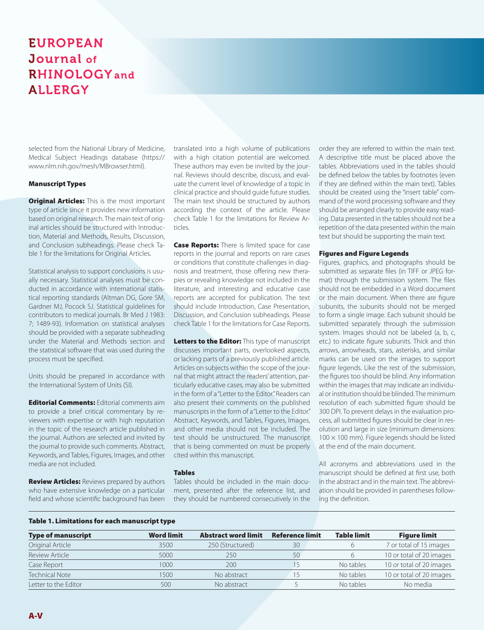selected from the National Library of Medicine, Medical Subject Headings database (https:// www.nlm.nih.gov/mesh/MBrowser.html).

### Manuscript Types

**Original Articles:** This is the most important type of article since it provides new information based on original research. The main text of original articles should be structured with Introduction, Material and Methods, Results, Discussion, and Conclusion subheadings. Please check Table 1 for the limitations for Original Articles.

Statistical analysis to support conclusions is usually necessary. Statistical analyses must be conducted in accordance with international statistical reporting standards (Altman DG, Gore SM, Gardner MJ, Pocock SJ. Statistical guidelines for contributors to medical journals. Br Med J 1983: 7; 1489-93). Information on statistical analyses should be provided with a separate subheading under the Material and Methods section and the statistical software that was used during the process must be specified.

Units should be prepared in accordance with the International System of Units (SI).

**Editorial Comments: Editorial comments aim** to provide a brief critical commentary by reviewers with expertise or with high reputation in the topic of the research article published in the journal. Authors are selected and invited by the journal to provide such comments. Abstract, Keywords, and Tables, Figures, Images, and other media are not included.

**Review Articles:** Reviews prepared by authors who have extensive knowledge on a particular field and whose scientific background has been translated into a high volume of publications with a high citation potential are welcomed. These authors may even be invited by the journal. Reviews should describe, discuss, and evaluate the current level of knowledge of a topic in clinical practice and should guide future studies. The main text should be structured by authors according the context of the article. Please check Table 1 for the limitations for Review Articles.

Case Reports: There is limited space for case reports in the journal and reports on rare cases or conditions that constitute challenges in diagnosis and treatment, those offering new therapies or revealing knowledge not included in the literature, and interesting and educative case reports are accepted for publication. The text should include Introduction, Case Presentation, Discussion, and Conclusion subheadings. Please check Table 1 for the limitations for Case Reports.

Letters to the Editor: This type of manuscript discusses important parts, overlooked aspects, or lacking parts of a previously published article. Articles on subjects within the scope of the journal that might attract the readers' attention, particularly educative cases, may also be submitted in the form of a "Letter to the Editor." Readers can also present their comments on the published manuscripts in the form of a "Letter to the Editor." Abstract, Keywords, and Tables, Figures, Images, and other media should not be included. The text should be unstructured. The manuscript that is being commented on must be properly cited within this manuscript.

### Tables

Tables should be included in the main document, presented after the reference list, and they should be numbered consecutively in the order they are referred to within the main text. A descriptive title must be placed above the tables. Abbreviations used in the tables should be defined below the tables by footnotes (even if they are defined within the main text). Tables should be created using the "insert table" command of the word processing software and they should be arranged clearly to provide easy reading. Data presented in the tables should not be a repetition of the data presented within the main text but should be supporting the main text.

### Figures and Figure Legends

Figures, graphics, and photographs should be submitted as separate files (in TIFF or JPEG format) through the submission system. The files should not be embedded in a Word document or the main document. When there are figure subunits, the subunits should not be merged to form a single image. Each subunit should be submitted separately through the submission system. Images should not be labeled (a, b, c, etc.) to indicate figure subunits. Thick and thin arrows, arrowheads, stars, asterisks, and similar marks can be used on the images to support figure legends. Like the rest of the submission, the figures too should be blind. Any information within the images that may indicate an individual or institution should be blinded. The minimum resolution of each submitted figure should be 300 DPI. To prevent delays in the evaluation process, all submitted figures should be clear in resolution and large in size (minimum dimensions:  $100 \times 100$  mm). Figure legends should be listed at the end of the main document.

All acronyms and abbreviations used in the manuscript should be defined at first use, both in the abstract and in the main text. The abbreviation should be provided in parentheses following the definition.

### Table 1. Limitations for each manuscript type

| <b>Type of manuscript</b> | <b>Word limit</b> | <b>Abstract word limit</b> | <b>Reference limit</b> | <b>Table limit</b> | <b>Figure limit</b>      |
|---------------------------|-------------------|----------------------------|------------------------|--------------------|--------------------------|
| Original Article          | 3500              | 250 (Structured)           | 30                     |                    | 7 or total of 15 images  |
| Review Article            | 5000              | 250                        | 50                     |                    | 10 or total of 20 images |
| Case Report               | 1000              | 200                        |                        | No tables          | 10 or total of 20 images |
| <b>Technical Note</b>     | 1500              | No abstract                |                        | No tables          | 10 or total of 20 images |
| Letter to the Editor      | 500               | No abstract                |                        | No tables          | No media                 |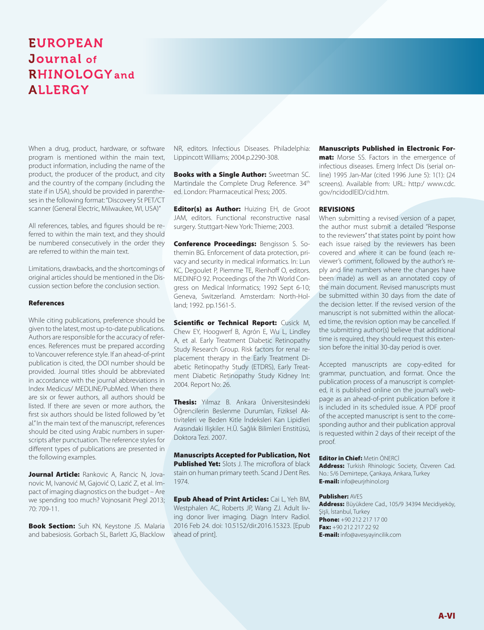When a drug, product, hardware, or software program is mentioned within the main text, product information, including the name of the product, the producer of the product, and city and the country of the company (including the state if in USA), should be provided in parentheses in the following format: "Discovery St PET/CT scanner (General Electric, Milwaukee, WI, USA)"

All references, tables, and figures should be referred to within the main text, and they should be numbered consecutively in the order they are referred to within the main text.

Limitations, drawbacks, and the shortcomings of original articles should be mentioned in the Discussion section before the conclusion section.

### **References**

While citing publications, preference should be given to the latest, most up-to-date publications. Authors are responsible for the accuracy of references. References must be prepared according to Vancouver reference style. If an ahead-of-print publication is cited, the DOI number should be provided. Journal titles should be abbreviated in accordance with the journal abbreviations in Index Medicus/ MEDLINE/PubMed. When there are six or fewer authors, all authors should be listed. If there are seven or more authors, the first six authors should be listed followed by "et al." In the main text of the manuscript, references should be cited using Arabic numbers in superscripts after punctuation. The reference styles for different types of publications are presented in the following examples.

Journal Article: Rankovic A, Rancic N, Jovanovic M, Ivanović M, Gajović O, Lazić Z, et al. Impact of imaging diagnostics on the budget – Are we spending too much? Vojnosanit Pregl 2013; 70: 709-11.

**Book Section:** Suh KN, Keystone JS. Malaria and babesiosis. Gorbach SL, Barlett JG, Blacklow

NR, editors. Infectious Diseases. Philadelphia: Lippincott Williams; 2004.p.2290-308.

**Books with a Single Author: Sweetman SC.** Martindale the Complete Drug Reference. 34<sup>th</sup> ed. London: Pharmaceutical Press; 2005.

**Editor(s) as Author: Huizing EH, de Groot** JAM, editors. Functional reconstructive nasal surgery. Stuttgart-New York: Thieme; 2003.

Conference Proceedings: Bengisson S. Sothemin BG. Enforcement of data protection, privacy and security in medical informatics. In: Lun KC, Degoulet P, Piemme TE, Rienhoff O, editors. MEDINFO 92. Proceedings of the 7th World Congress on Medical Informatics; 1992 Sept 6-10; Geneva, Switzerland. Amsterdam: North-Holland; 1992. pp.1561-5.

Scientific or Technical Report: Cusick M, Chew EY, Hoogwerf B, Agrón E, Wu L, Lindley A, et al. Early Treatment Diabetic Retinopathy Study Research Group. Risk factors for renal replacement therapy in the Early Treatment Diabetic Retinopathy Study (ETDRS), Early Treatment Diabetic Retinopathy Study Kidney Int: 2004. Report No: 26.

Thesis: Yılmaz B. Ankara Üniversitesindeki Öğrencilerin Beslenme Durumları, Fiziksel Aktiviteleri ve Beden Kitle İndeksleri Kan Lipidleri Arasındaki Ilişkiler. H.Ü. Sağlık Bilimleri Enstitüsü, Doktora Tezi. 2007.

Manuscripts Accepted for Publication, Not Published Yet: Slots J. The microflora of black stain on human primary teeth. Scand J Dent Res. 1974.

**Epub Ahead of Print Articles: Cai L, Yeh BM,** Westphalen AC, Roberts JP, Wang ZJ. Adult living donor liver imaging. Diagn Interv Radiol. 2016 Feb 24. doi: 10.5152/dir.2016.15323. [Epub ahead of print].

Manuscripts Published in Electronic For-

mat: Morse SS. Factors in the emergence of infectious diseases. Emerg Infect Dis (serial online) 1995 Jan-Mar (cited 1996 June 5): 1(1): (24 screens). Available from: URL: http:/ www.cdc. gov/ncidodlElD/cid.htm.

### REVISIONS

When submitting a revised version of a paper, the author must submit a detailed "Response to the reviewers" that states point by point how each issue raised by the reviewers has been covered and where it can be found (each reviewer's comment, followed by the author's reply and line numbers where the changes have been made) as well as an annotated copy of the main document. Revised manuscripts must be submitted within 30 days from the date of the decision letter. If the revised version of the manuscript is not submitted within the allocated time, the revision option may be cancelled. If the submitting author(s) believe that additional time is required, they should request this extension before the initial 30-day period is over.

Accepted manuscripts are copy-edited for grammar, punctuation, and format. Once the publication process of a manuscript is completed, it is published online on the journal's webpage as an ahead-of-print publication before it is included in its scheduled issue. A PDF proof of the accepted manuscript is sent to the corresponding author and their publication approval is requested within 2 days of their receipt of the proof.

Editor in Chief: Metin ÖNFRCİ Address: Turkish Rhinologic Society, Özveren Cad. No.: 5/6 Demirtepe, Çankaya, Ankara, Turkey **E-mail:** info@eurjrhinol.org

### Publisher: AVES

Address: Büyükdere Cad., 105/9 34394 Mecidiyeköy, Şişli, İstanbul, Turkey **Phone:** +90 212 217 17 00 Fax: +90 212 217 22 92 **E-mail:** info@avesyayincilik.com